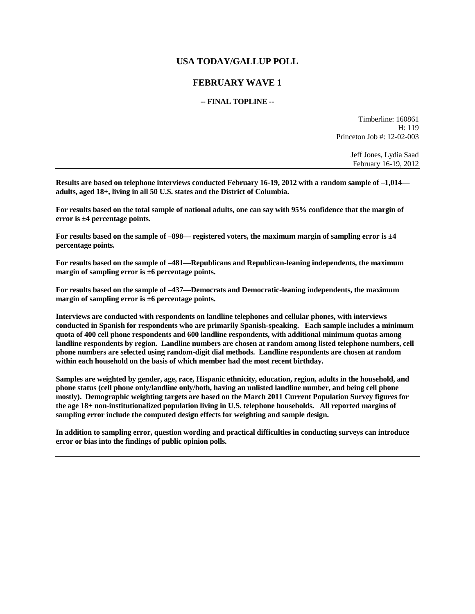## **USA TODAY/GALLUP POLL**

## **FEBRUARY WAVE 1**

## **-- FINAL TOPLINE --**

Timberline: 160861 H: 119 Princeton Job #: 12-02-003

> Jeff Jones, Lydia Saad February 16-19, 2012

**Results are based on telephone interviews conducted February 16-19, 2012 with a random sample of –1,014 adults, aged 18+, living in all 50 U.S. states and the District of Columbia.** 

**For results based on the total sample of national adults, one can say with 95% confidence that the margin of error is ±4 percentage points.**

**For results based on the sample of –898— registered voters, the maximum margin of sampling error is ±4 percentage points.**

**For results based on the sample of –481—Republicans and Republican-leaning independents, the maximum margin of sampling error is ±6 percentage points.**

**For results based on the sample of –437—Democrats and Democratic-leaning independents, the maximum margin of sampling error is ±6 percentage points.**

**Interviews are conducted with respondents on landline telephones and cellular phones, with interviews conducted in Spanish for respondents who are primarily Spanish-speaking. Each sample includes a minimum quota of 400 cell phone respondents and 600 landline respondents, with additional minimum quotas among landline respondents by region. Landline numbers are chosen at random among listed telephone numbers, cell phone numbers are selected using random-digit dial methods. Landline respondents are chosen at random within each household on the basis of which member had the most recent birthday.** 

**Samples are weighted by gender, age, race, Hispanic ethnicity, education, region, adults in the household, and phone status (cell phone only/landline only/both, having an unlisted landline number, and being cell phone mostly). Demographic weighting targets are based on the March 2011 Current Population Survey figures for the age 18+ non-institutionalized population living in U.S. telephone households. All reported margins of sampling error include the computed design effects for weighting and sample design.** 

**In addition to sampling error, question wording and practical difficulties in conducting surveys can introduce error or bias into the findings of public opinion polls.**